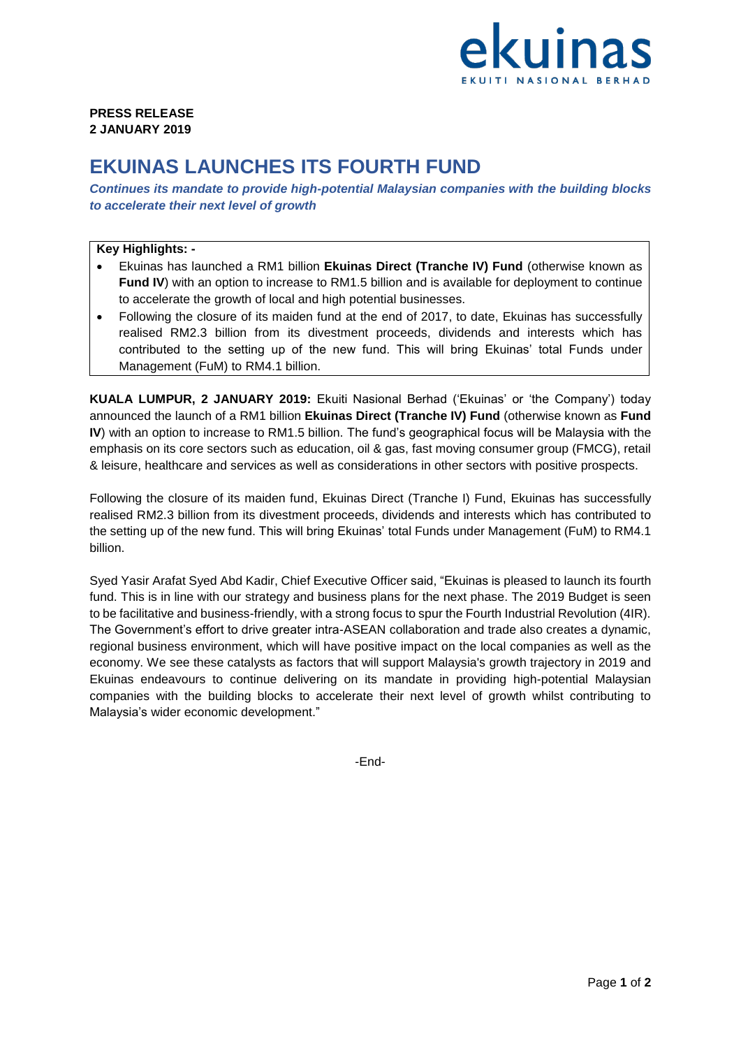

## **PRESS RELEASE 2 JANUARY 2019**

## **EKUINAS LAUNCHES ITS FOURTH FUND**

*Continues its mandate to provide high-potential Malaysian companies with the building blocks to accelerate their next level of growth*

## **Key Highlights: -**

- Ekuinas has launched a RM1 billion **Ekuinas Direct (Tranche IV) Fund** (otherwise known as **Fund IV**) with an option to increase to RM1.5 billion and is available for deployment to continue to accelerate the growth of local and high potential businesses.
- Following the closure of its maiden fund at the end of 2017, to date, Ekuinas has successfully realised RM2.3 billion from its divestment proceeds, dividends and interests which has contributed to the setting up of the new fund. This will bring Ekuinas' total Funds under Management (FuM) to RM4.1 billion.

**KUALA LUMPUR, 2 JANUARY 2019:** Ekuiti Nasional Berhad ('Ekuinas' or 'the Company') today announced the launch of a RM1 billion **Ekuinas Direct (Tranche IV) Fund** (otherwise known as **Fund IV**) with an option to increase to RM1.5 billion. The fund's geographical focus will be Malaysia with the emphasis on its core sectors such as education, oil & gas, fast moving consumer group (FMCG), retail & leisure, healthcare and services as well as considerations in other sectors with positive prospects.

Following the closure of its maiden fund, Ekuinas Direct (Tranche I) Fund, Ekuinas has successfully realised RM2.3 billion from its divestment proceeds, dividends and interests which has contributed to the setting up of the new fund. This will bring Ekuinas' total Funds under Management (FuM) to RM4.1 billion.

Syed Yasir Arafat Syed Abd Kadir, Chief Executive Officer said, "Ekuinas is pleased to launch its fourth fund. This is in line with our strategy and business plans for the next phase. The 2019 Budget is seen to be facilitative and business-friendly, with a strong focus to spur the Fourth Industrial Revolution (4IR). The Government's effort to drive greater intra-ASEAN collaboration and trade also creates a dynamic, regional business environment, which will have positive impact on the local companies as well as the economy. We see these catalysts as factors that will support Malaysia's growth trajectory in 2019 and Ekuinas endeavours to continue delivering on its mandate in providing high-potential Malaysian companies with the building blocks to accelerate their next level of growth whilst contributing to Malaysia's wider economic development."

-End-